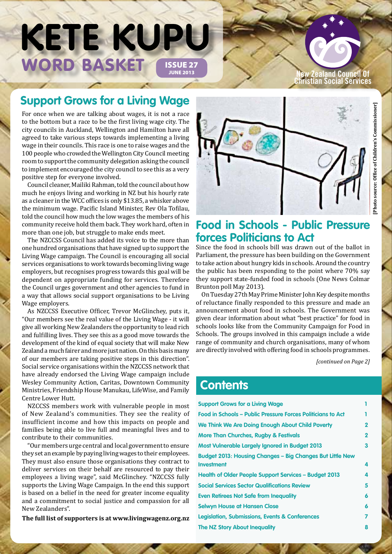# WORD BASKET ISSUE 27 **KETE KUPU**

**New Zealand Council Of Christian Social Services**

# **Support Grows for a Living Wage**

For once when we are talking about wages, it is not a race to the bottom but a race to be the first living wage city. The city councils in Auckland, Wellington and Hamilton have all agreed to take various steps towards implementing a living wage in their councils. This race is one to raise wages and the 100 people who crowded the Wellington City Council meeting room to support the community delegation asking the council to implement encouraged the city council to see this as a very positive step for everyone involved.

Council cleaner, Mailiki Rahman, told the council about how much he enjoys living and working in NZ but his hourly rate as a cleaner in the WCC offices is only \$13.85, a whisker above the minimum wage. Pacific Island Minister, Rev Ola Tofilau, told the council how much the low wages the members of his community receive hold them back. They work hard, often in more than one job, but struggle to make ends meet.

The NZCCSS Council has added its voice to the more than one hundred organisations that have signed up to support the Living Wage campaign. The Council is encouraging all social services organisations to work towards becoming living wage employers, but recognises progress towards this goal will be dependent on appropriate funding for services. Therefore the Council urges government and other agencies to fund in a way that allows social support organisations to be Living Wage employers.

As NZCCSS Executive Officer, Trevor McGlinchey, puts it, "Our members see the real value of the Living Wage - it will give all working New Zealanders the opportunity to lead rich and fulfilling lives. They see this as a good move towards the development of the kind of equal society that will make New Zealand a much fairer and more just nation. On this basis many of our members are taking positive steps in this direction". Social service organisations within the NZCCSS network that have already endorsed the Living Wage campaign include Wesley Community Action, Caritas, Downtown Community Ministries, Friendship House Manukau, LifeWise, and Family Centre Lower Hutt.

NZCCSS members work with vulnerable people in most of New Zealand's communities. They see the reality of insufficient income and how this impacts on people and families being able to live full and meaningful lives and to contribute to their communities.

"Our members urge central and local government to ensure they set an example by paying living wages to their employees. They must also ensure those organisations they contract to deliver services on their behalf are resourced to pay their employees a living wage", said McGlinchey. "NZCCSS fully supports the Living Wage Campaign. In the end this support is based on a belief in the need for greater income equality and a commitment to social justice and compassion for all New Zealanders".

**The full list of supporters is at www.livingwagenz.org.nz** 



## **Food in Schools - Public Pressure forces Politicians to Act**

Since the food in schools bill was drawn out of the ballot in Parliament, the pressure has been building on the Government to take action about hungry kids in schools. Around the country the public has been responding to the point where 70% say they support state-funded food in schools (One News Colmar Brunton poll May 2013).

On Tuesday 27th May Prime Minister John Key despite months of reluctance finally responded to this pressure and made an announcement about food in schools. The Government was given clear information about what "best practice" for food in schools looks like from the Community Campaign for Food in Schools. The groups involved in this campaign include a wide range of community and church organisations, many of whom are directly involved with offering food in schools programmes.

*[continued on Page 2]*

## **Contents**

| <b>Support Grows for a Living Wage</b>                             |             |
|--------------------------------------------------------------------|-------------|
| <b>Food in Schools - Public Pressure Forces Politicians to Act</b> |             |
| We Think We Are Doing Enough About Child Poverty                   | $\mathbf 2$ |
| <b>More Than Churches, Rugby &amp; Festivals</b>                   | $\mathbf 2$ |
| <b>Most Vulnerable Largely Ignored in Budget 2013</b>              | 3           |
| Budget 2013: Housing Changes – Big Changes But Little New          |             |
| <b>Investment</b>                                                  | 4           |
| <b>Health of Older People Support Services - Budget 2013</b>       | 4           |
| <b>Social Services Sector Qualifications Review</b>                | 5           |
| <b>Even Retirees Not Safe from Inequality</b>                      | 6           |
| <b>Selwyn House at Hansen Close</b>                                | 6           |
| <b>Legislation, Submissions, Events &amp; Conferences</b>          | 7           |
| The NZ Story About Inequality                                      | 8           |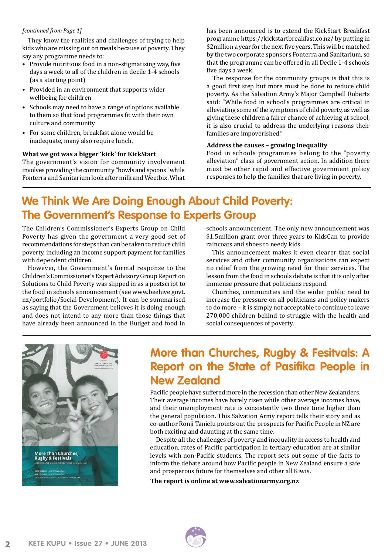#### *[continued from Page 1]*

They know the realities and challenges of trying to help kids who are missing out on meals because of poverty. They say any programme needs to:

- Provide nutritious food in a non-stigmatising way, five days a week to all of the children in decile 1-4 schools (as a starting point)
- Provided in an environment that supports wider wellbeing for children
- Schools may need to have a range of options available to them so that food programmes fit with their own culture and community
- For some children, breakfast alone would be inadequate, many also require lunch.

## **What we got was a bigger 'kick' for KickStart**

The government's vision for community involvement involves providing the community "bowls and spoons" while Fonterra and Sanitarium look after milk and Weetbix. What

has been announced is to extend the KickStart Breakfast programme https://kickstartbreakfast.co.nz/ by putting in \$2million a year for the next five years. This will be matched by the two corporate sponsors Fonterra and Sanitarium, so that the programme can be offered in all Decile 1-4 schools five days a week.

The response for the community groups is that this is a good first step but more must be done to reduce child poverty. As the Salvation Army's Major Campbell Roberts said: "While food in school's programmes are critical in alleviating some of the symptoms of child poverty, as well as giving these children a fairer chance of achieving at school, it is also crucial to address the underlying reasons their families are impoverished."

#### **Address the causes – growing inequality**

Food in schools programmes belong to the "poverty alleviation" class of government action. In addition there must be other rapid and effective government policy responses to help the families that are living in poverty.

## **We Think We Are Doing Enough About Child Poverty: The Government's Response to Experts Group**

The Children's Commissioner's Experts Group on Child Poverty has given the government a very good set of recommendations for steps than can be taken to reduce child poverty, including an income support payment for families with dependent children.

However, the Government's formal response to the Children's Commissioner's Expert Advisory Group Report on Solutions to Child Poverty was slipped in as a postscript to the food in schools announcement (see www.beehive.govt. nz/portfolio/Social-Development). It can be summarised as saying that the Government believes it is doing enough and does not intend to any more than those things that have already been announced in the Budget and food in

schools announcement. The only new announcement was \$1.5million grant over three years to KidsCan to provide raincoats and shoes to needy kids.

This announcement makes it even clearer that social services and other community organisations can expect no relief from the growing need for their services. The lesson from the food in schools debate is that it is only after immense pressure that politicians respond.

Churches, communities and the wider public need to increase the pressure on all politicians and policy makers to do more – it is simply not acceptable to continue to leave 270,000 children behind to struggle with the health and social consequences of poverty.



## **More than Churches, Rugby & Fesitvals: A Report on the State of Pasifika People in New Zealand**

Pacific people have suffered more in the recession than other New Zealanders. Their average incomes have barely risen while other average incomes have, and their unemployment rate is consistently two three time higher than the general population. This Salvation Army report tells their story and as co-author Ronji Tanielu points out the prospects for Pacific People in NZ are both exciting and daunting at the same time.

Despite all the challenges of poverty and inequality in access to health and education, rates of Pacific participation in tertiary education are at similar levels with non-Pacific students. The report sets out some of the facts to inform the debate around how Pacific people in New Zealand ensure a safe and prosperous future for themselves and other all Kiwis.

**The report is online at www.salvationarmy.org.nz**

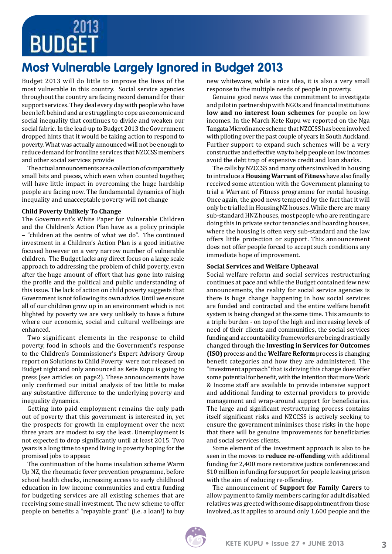# **BUDGET**

# **Most Vulnerable Largely Ignored in Budget 2013**

Budget 2013 will do little to improve the lives of the most vulnerable in this country. Social service agencies throughout the country are facing record demand for their support services. They deal every day with people who have been left behind and are struggling to cope as economic and social inequality that continues to divide and weaken our social fabric. In the lead-up to Budget 2013 the Government dropped hints that it would be taking action to respond to poverty. What was actually announced will not be enough to reduce demand for frontline services that NZCCSS members and other social services provide

The actual announcements are a collection of comparatively small bits and pieces, which even when counted together, will have little impact in overcoming the huge hardship people are facing now. The fundamental dynamics of high inequality and unacceptable poverty will not change

## **Child Poverty Unlikely To Change**

The Government's White Paper for Vulnerable Children and the Children's Action Plan have as a policy principle – "children at the centre of what we do". The continued investment in a Children's Action Plan is a good initiative focused however on a very narrow number of vulnerable children. The Budget lacks any direct focus on a large scale approach to addressing the problem of child poverty, even after the huge amount of effort that has gone into raising the profile and the political and public understanding of this issue. The lack of action on child poverty suggests that Government is not following its own advice. Until we ensure all of our children grow up in an environment which is not blighted by poverty we are very unlikely to have a future where our economic, social and cultural wellbeings are enhanced.

Two significant elements in the response to child poverty, food in schools and the Government's response to the Children's Commissioner's Expert Advisory Group report on Solutions to Child Poverty were not released on Budget night and only announced as Kete Kupu is going to press (see articles on page2). These announcements have only confirmed our initial analysis of too little to make any substantive difference to the underlying poverty and inequality dynamics.

Getting into paid employment remains the only path out of poverty that this government is interested in, yet the prospects for growth in employment over the next three years are modest to say the least. Unemployment is not expected to drop significantly until at least 2015. Two years is a long time to spend living in poverty hoping for the promised jobs to appear.

The continuation of the home insulation scheme Warm Up NZ, the rheumatic fever prevention programme, before school health checks, increasing access to early childhood education in low income communities and extra funding for budgeting services are all existing schemes that are receiving some small investment. The new scheme to offer people on benefits a "repayable grant" (i.e. a loan!) to buy new whiteware, while a nice idea, it is also a very small response to the multiple needs of people in poverty.

Genuine good news was the commitment to investigate and pilot in partnership with NGOs and financial institutions **low and no interest loan schemes** for people on low incomes. In the March Kete Kupu we reported on the Nga Tangata Microfinance scheme that NZCCSS has been involved with piloting over the past couple of years in South Auckland. Further support to expand such schemes will be a very constructive and effective way to help people on low incomes avoid the debt trap of expensive credit and loan sharks.

The calls by NZCCSS and many others involved in housing to introduce a **Housing Warrant of Fitness** have also finally received some attention with the Government planning to trial a Warrant of Fitness programme for rental housing. Once again, the good news tempered by the fact that it will only be trialled in Housing NZ houses. While there are many sub-standard HNZ houses, most people who are renting are doing this in private sector tenancies and boarding houses, where the housing is often very sub-standard and the law offers little protection or support. This announcement does not offer people forced to accept such conditions any immediate hope of improvement.

## **Social Services and Welfare Upheaval**

Social welfare reform and social services restructuring continues at pace and while the Budget contained few new announcements, the reality for social service agencies is there is huge change happening in how social services are funded and contracted and the entire welfare benefit system is being changed at the same time. This amounts to a triple burden - on top of the high and increasing levels of need of their clients and communities, the social services funding and accountability frameworks are being drastically changed through the **Investing in Services for Outcomes (ISO)** process and the **Welfare Reform** process is changing benefit categories and how they are administered. The "investment approach" that is driving this change does offer some potential for benefit, with the intention that more Work & Income staff are available to provide intensive support and additional funding to external providers to provide management and wrap-around support for beneficiaries. The large and significant restructuring process contains itself significant risks and NZCCSS is actively seeking to ensure the government minimises those risks in the hope that there will be genuine improvements for beneficiaries and social services clients.

Some element of the investment approach is also to be seen in the moves to **reduce re-offending** with additional funding for 2,400 more restorative justice conferences and \$10 million in funding for support for people leaving prison with the aim of reducing re-offending.

The announcement of **Support for Family Carers** to allow payment to family members caring for adult disabled relatives was greeted with some disappointment from those involved, as it applies to around only 1,600 people and the

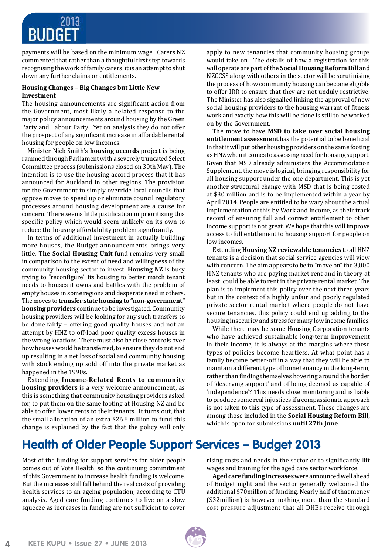

payments will be based on the minimum wage. Carers NZ commented that rather than a thoughtful first step towards recognising the work of family carers, it is an attempt to shut down any further claims or entitlements.

## **Housing Changes – Big Changes but Little New Investment**

The housing announcements are significant action from the Government, most likely a belated response to the major policy announcements around housing by the Green Party and Labour Party. Yet on analysis they do not offer the prospect of any significant increase in affordable rental housing for people on low incomes.

Minister Nick Smith's **housing accords** project is being rammed through Parliament with a severely truncated Select Committee process (submissions closed on 30th May). The intention is to use the housing accord process that it has announced for Auckland in other regions. The provision for the Government to simply override local councils that oppose moves to speed up or eliminate council regulatory processes around housing development are a cause for concern. There seems little justification in prioritising this specific policy which would seem unlikely on its own to reduce the housing affordability problem significantly.

In terms of additional investment in actually building more houses, the Budget announcements brings very little. **The Social Housing Unit** fund remains very small in comparison to the extent of need and willingness of the community housing sector to invest. **Housing NZ** is busy trying to "reconfigure" its housing to better match tenant needs to houses it owns and battles with the problem of empty houses in some regions and desperate need in others. The moves to **transfer state housing to "non-government" housing providers** continue to be investigated. Community housing providers will be looking for any such transfers to be done fairly – offering good quality houses and not an attempt by HNZ to off-load poor quality excess houses in the wrong locations. There must also be close controls over how houses would be transferred, to ensure they do not end up resulting in a net loss of social and community housing with stock ending up sold off into the private market as happened in the 1990s.

Extending **Income-Related Rents to community housing providers** is a very welcome announcement, as this is something that community housing providers asked for, to put them on the same footing at Housing NZ and be able to offer lower rents to their tenants. It turns out, that the small allocation of an extra \$26.6 million to fund this change is explained by the fact that the policy will only apply to new tenancies that community housing groups would take on. The details of how a registration for this will operate are part of the **Social Housing Reform Bill** and NZCCSS along with others in the sector will be scrutinising the process of how community housing can become eligible to offer IRR to ensure that they are not unduly restrictive. The Minister has also signalled linking the approval of new social housing providers to the housing warrant of fitness work and exactly how this will be done is still to be worked on by the Government.

The move to have **MSD to take over social housing entitlement assessment** has the potential to be beneficial in that it will put other housing providers on the same footing as HNZ when it comes to assessing need for housing support. Given that MSD already administers the Accommodation Supplement, the move is logical, bringing responsibility for all housing support under the one department. This is yet another structural change with MSD that is being costed at \$30 million and is to be implemented within a year by April 2014. People are entitled to be wary about the actual implementation of this by Work and Income, as their track record of ensuring full and correct entitlement to other income support is not great. We hope that this will improve access to full entitlement to housing support for people on low incomes.

Extending **Housing NZ reviewable tenancies** to all HNZ tenants is a decision that social service agencies will view with concern. The aim appears to be to "move on" the 3,000 HNZ tenants who are paying market rent and in theory at least, could be able to rent in the private rental market. The plan is to implement this policy over the next three years but in the context of a highly unfair and poorly regulated private sector rental market where people do not have secure tenancies, this policy could end up adding to the housing insecurity and stress for many low income families.

While there may be some Housing Corporation tenants who have achieved sustainable long-term improvement in their income, it is always at the margins where these types of policies become heartless. At what point has a family become better-off in a way that they will be able to maintain a different type of home tenancy in the long-term, rather than finding themselves hovering around the border of 'deserving support' and of being deemed as capable of 'independence'? This needs close monitoring and is liable to produce some real injustices if a compassionate approach is not taken to this type of assessment. These changes are among those included in the **Social Housing Reform Bill,** which is open for submissions **until 27th June**.

# **Health of Older People Support Services – Budget 2013**

Most of the funding for support services for older people comes out of Vote Health, so the continuing commitment of this Government to increase health funding is welcome. But the increases still fall behind the real costs of providing health services to an ageing population, according to CTU analysis. Aged care funding continues to live on a slow squeeze as increases in funding are not sufficient to cover

rising costs and needs in the sector or to significantly lift wages and training for the aged care sector workforce.

**Agedcare funding increases** were announced well ahead of Budget night and the sector generally welcomed the additional \$70million of funding. Nearly half of that money (\$32million) is however nothing more than the standard cost pressure adjustment that all DHBs receive through

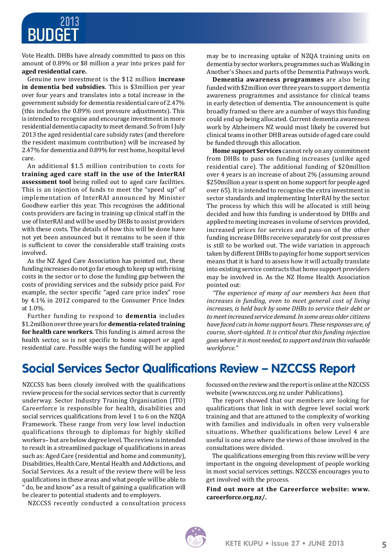

Vote Health. DHBs have already committed to pass on this amount of 0.89% or \$8 million a year into prices paid for **aged residential care.** 

Genuine new investment is the \$12 million **increase in dementia bed subsidies**. This is \$3million per year over four years and translates into a total increase in the government subsidy for dementia residential care of 2.47% (this includes the 0.89% cost pressure adjustments). This is intended to recognise and encourage investment in more residential dementia capacity to meet demand. So from I July 2013 the aged residential care subsidy rates (and therefore the resident maximum contribution) will be increased by 2.47% for dementia and 0.89% for rest home, hospital level care.

An additional \$1.5 million contribution to costs for **training aged care staff in the use of the InterRAI assessment tool** being rolled out to aged care facilities. This is an injection of funds to meet the "speed up" of implementation of InterRAI announced by Minister Goodhew earlier this year. This recognises the additional costs providers are facing in training up clinical staff in the use of InterRAI and will be used by DHBs to assist providers with these costs. The details of how this will be done have not yet been announced but it remains to be seen if this is sufficient to cover the considerable staff training costs involved.

As the NZ Aged Care Association has pointed out, these funding increases do not go far enough to keep up with rising costs in the sector or to close the funding gap between the costs of providing services and the subsidy price paid. For example, the sector specific "aged care price index" rose by 4.1% in 2012 compared to the Consumer Price Index at 1.0%.

Further funding to respond to **dementia** includes \$1.2million over three years for **dementia-relatedtraining for health care workers**. This funding is aimed across the health sector, so is not specific to home support or aged residential care. Possible ways the funding will be applied may be to increasing uptake of NZQA training units on dementia by sector workers, programmes such as Walking in Another's Shoes and parts of the Dementia Pathways work.

**Dementia awareness programmes** are also being funded with \$2million over three years to support dementia awareness programmes and assistance for clinical teams in early detection of dementia. The announcement is quite broadly framed so there are a number of ways this funding could end up being allocated. Current dementia awareness work by Alzheimers NZ would most likely be covered but clinical teams in other DHB areas outside of aged care could be funded through this allocation.

**Home support Services** cannot rely on any commitment from DHBs to pass on funding increases (unlike aged residential care). The additional funding of \$20million over 4 years is an increase of about 2% (assuming around \$250million a year is spent on home support for people aged over 65). It is intended to recognise the extra investment in sector standards and implementing InterRAI by the sector. The process by which this will be allocated is still being decided and how this funding is understood by DHBs and applied to meeting increases in volume of services provided, increased prices for services and pass-on of the other funding increase DHBs receive separately for cost pressures is still to be worked out. The wide variation in approach taken by different DHBs to paying for home support services means that it is hard to assess how it will actually translate into existing service contracts that home support providers may be involved in. As the NZ Home Health Association pointed out:

*"The experience of many of our members has been that increases in funding, even to meet general cost of living increases, is held back by some DHBs to service their debt or to meet increased service demand. In some areas older citizens have faced cuts in home support hours. These responses are, of course, short-sighted. It is critical that this funding injection goes where it is most needed, to support and train this valuable workforce."* 

# **Social Services Sector Qualifications Review – NZCCSS Report**

NZCCSS has been closely involved with the qualifications review process for the social services sector that is currently underway. Sector Industry Training Organisation (ITO) Careerforce is responsible for health, disabilities and social services qualifications from level 1 to 6 on the NZQA Framework. These range from very low level induction qualifications through to diplomas for highly skilled workers– but are below degree level. The review is intended to result in a streamlined package of qualifications in areas such as: Aged Care (residential and home and community), Disabilities, Health Care, Mental Health and Addictions, and Social Services. As a result of the review there will be less qualifications in these areas and what people will be able to " do, be and know" as a result of gaining a qualification will be clearer to potential students and to employers.

NZCCSS recently conducted a consultation process

focussed on the review and the report is online at the NZCCSS website (www.nzccss.org.nz under Publications).

The report showed that our members are looking for qualifications that link in with degree level social work training and that are attuned to the complexity of working with families and individuals in often very vulnerable situations. Whether qualifications below Level 4 are useful is one area where the views of those involved in the consultations were divided.

The qualifications emerging from this review will be very important in the ongoing development of people working in most social services settings. NZCCSS encourages you to get involved with the process.

**Find out more at the Careerforce website: www. careerforce.org.nz/.** 

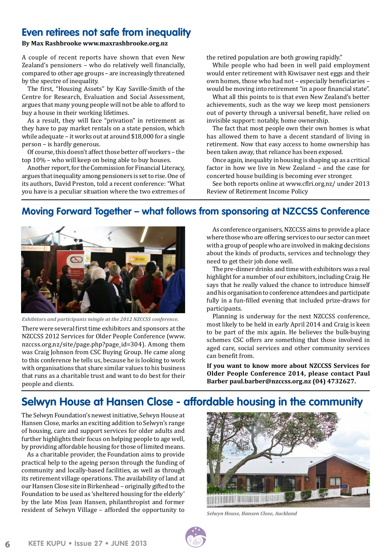## **Even retirees not safe from inequality**

## **By Max Rashbrooke www.maxrashbrooke.org.nz**

A couple of recent reports have shown that even New Zealand's pensioners – who do relatively well financially, compared to other age groups – are increasingly threatened by the spectre of inequality.

The first, "Housing Assets" by Kay Saville-Smith of the Centre for Research, Evaluation and Social Assessment, argues that many young people will not be able to afford to buy a house in their working lifetimes.

As a result, they will face "privation" in retirement as they have to pay market rentals on a state pension, which while adequate – it works out at around \$18,000 for a single person – is hardly generous.

Of course, this doesn't affect those better off workers – the top 10% – who will keep on being able to buy houses.

Another report, for the Commission for Financial Literacy, argues that inequality among pensioners is set to rise. One of its authors, David Preston, told a recent conference: "What you have is a peculiar situation where the two extremes of the retired population are both growing rapidly."

While people who had been in well paid employment would enter retirement with Kiwisaver nest eggs and their own homes, those who had not – especially beneficiaries – would be moving into retirement "in a poor financial state".

What all this points to is that even New Zealand's better achievements, such as the way we keep most pensioners out of poverty through a universal benefit, have relied on invisible support: notably, home ownership.

The fact that most people own their own homes is what has allowed them to have a decent standard of living in retirement. Now that easy access to home ownership has been taken away, that reliance has been exposed.

Once again, inequality in housing is shaping up as a critical factor in how we live in New Zealand – and the case for concerted house building is becoming ever stronger.

See both reports online at www.cflri.org.nz/ under 2013 Review of Retirement Income Policy

## **Moving Forward Together – what follows from sponsoring at NZCCSS Conference**



*Exhibitors and participants mingle at the 2012 NZCCSS conference.*

There were several first time exhibitors and sponsors at the NZCCSS 2012 Services for Older People Conference (www. nzccss.org.nz/site/page.php?page\_id=304). Among them was Craig Johnson from CSC Buying Group. He came along to this conference he tells us, because he is looking to work with organisations that share similar values to his business that runs as a charitable trust and want to do best for their people and clients.

As conference organisers, NZCCSS aims to provide a place where those who are offering services to our sector can meet with a group of people who are involved in making decisions about the kinds of products, services and technology they need to get their job done well.

The pre-dinner drinks and time with exhibitors was a real highlight for a number of our exhibitors, including Craig. He says that he really valued the chance to introduce himself and his organisation to conference attendees and participate fully in a fun-filled evening that included prize-draws for participants.

Planning is underway for the next NZCCSS conference, most likely to be held in early April 2014 and Craig is keen to be part of the mix again. He believes the bulk-buying schemes CSC offers are something that those involved in aged care, social services and other community services can benefit from.

**If you want to know more about NZCCSS Services for Older People Conference 2014, please contact Paul Barber paul.barber@nzccss.org.nz (04) 4732627.**

## **Selwyn House at Hansen Close - affordable housing in the community**

The Selwyn Foundation's newest initiative, Selwyn House at Hansen Close, marks an exciting addition to Selwyn's range of housing, care and support services for older adults and further highlights their focus on helping people to age well, by providing affordable housing for those of limited means.

As a charitable provider, the Foundation aims to provide practical help to the ageing person through the funding of community and locally-based facilities, as well as through its retirement village operations. The availability of land at our Hansen Close site in Birkenhead – originally gifted to the Foundation to be used as 'sheltered housing for the elderly' by the late Miss Jean Hansen, philanthropist and former resident of Selwyn Village – afforded the opportunity to



*Selwyn House, Hansen Close, Auckland*



**6**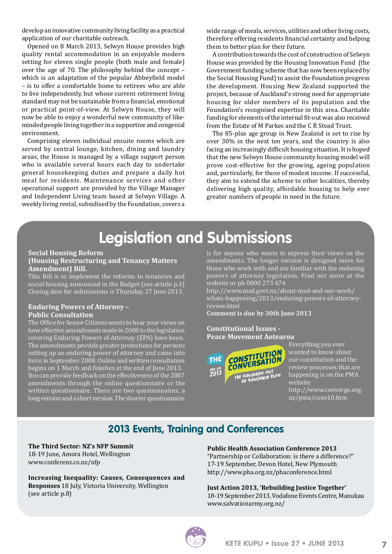develop an innovative community living facility as a practical application of our charitable outreach.

Opened on 8 March 2013, Selwyn House provides high quality rental accommodation in an enjoyable modern setting for eleven single people (both male and female) over the age of 70. The philosophy behind the concept – which is an adaptation of the popular Abbeyfield model – is to offer a comfortable home to retirees who are able to live independently, but whose current retirement living standard may not be sustainable from a financial, emotional or practical point-of-view. At Selwyn House, they will now be able to enjoy a wonderful new community of likeminded people living together in a supportive and congenial environment.

Comprising eleven individual ensuite rooms which are served by central lounge, kitchen, dining and laundry areas, the House is managed by a village support person who is available several hours each day to undertake general housekeeping duties and prepare a daily hot meal for residents. Maintenance services and other operational support are provided by the Village Manager and Independent Living team based at Selwyn Village. A weekly living rental, subsidised by the Foundation, covers a wide range of meals, services, utilities and other living costs, therefore offering residents financial certainty and helping them to better plan for their future.

A contribution towards the cost of construction of Selwyn House was provided by the Housing Innovation Fund (the Government funding scheme that has now been replaced by the Social Housing Fund) to assist the Foundation progress the development. Housing New Zealand supported the project, because of Auckland's strong need for appropriate housing for older members of its population and the Foundation's recognised expertise in this area. Charitable funding for elements of the internal fit-out was also received from the Estate of M Parkes and the C R Stead Trust.

The 85-plus age group in New Zealand is set to rise by over 30% in the next ten years, and the country is also facing an increasingly difficult housing situation. It is hoped that the new Selwyn House community housing model will prove cost-effective for the growing, ageing population and, particularly, for those of modest income. If successful, they aim to extend the scheme to other localities, thereby delivering high quality, affordable housing to help ever greater numbers of people in need in the future.

# **Legislation and Submissions**

#### **Social Housing Reform (Housing Restructuring and Tenancy Matters Amendment) Bill.**

This Bill is to implement the reforms to tenancies and social housing announced in the Budget (see article p.3) Closing date for submissions is Thursday, 27 June 2013.

## **Enduring Powers of Attorney – Public Consultation**

The Office for Senior Citizens wants to hear your views on how effective amendments made in 2008 to the legislation covering Enduring Powers of Attorney (EPA) have been. The amendments provide greater protections for persons setting up an enduring power of attorney and came into force in September 2008. Online and written consultation begins on 1 March and finishes at the end of June 2013. You can provide feedback on the effectiveness of the 2007 amendments through the online questionnaire or the written questionnaire. There are two questionnaires, a long version and a short version. The shorter questionnaire is for anyone who wants to express their views on the amendments. The longer version is designed more for those who work with and are familiar with the enduring powers of attorney legislation. Find out more at the website or ph 0800 273 674

http://www.msd.govt.nz/about-msd-and-our-work/ whats-happening/2013/enduring-powers-of-attorneyreview.html

**Comment is due by 30th June 2013**

## **Constitutional Issues - Peace Movement Aotearoa**



Everything you ever wanted to know about our constitution and the review processes that are happening is on the PMA website http://www.converge.org. nz/pma/cons10.htm

## **2013 Events, Training and Conferences**

#### **The Third Sector: NZ's NFP Summit** 18-19 June, Amora Hotel, Wellington

www.conferenz.co.nz/nfp

**Increasing Inequality: Causes, Consequences and Responses** 18 July, Victoria University, Wellington (see article p.8)

#### **Public Health Association Conference 2013**

"Partnership or Collaboration: is there a difference?" 17-19 September, Devon Hotel, New Plymouth http://www.pha.org.nz/phaconference.html

**Just Action 2013, 'Rebuilding Justice Together'** 18-19 September 2013, Vodafone Events Centre, Manukau www.salvationarmy.org.nz/